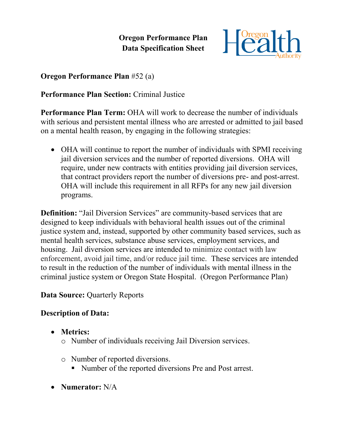**Oregon Performance Plan Data Specification Sheet**



### **Oregon Performance Plan** #52 (a)

# **Performance Plan Section:** Criminal Justice

**Performance Plan Term:** OHA will work to decrease the number of individuals with serious and persistent mental illness who are arrested or admitted to jail based on a mental health reason, by engaging in the following strategies:

 OHA will continue to report the number of individuals with SPMI receiving jail diversion services and the number of reported diversions. OHA will require, under new contracts with entities providing jail diversion services, that contract providers report the number of diversions pre- and post-arrest. OHA will include this requirement in all RFPs for any new jail diversion programs.

**Definition:** "Jail Diversion Services" are community-based services that are designed to keep individuals with behavioral health issues out of the criminal justice system and, instead, supported by other community based services, such as mental health services, substance abuse services, employment services, and housing. Jail diversion services are intended to minimize contact with law enforcement, avoid jail time, and/or reduce jail time. These services are intended to result in the reduction of the number of individuals with mental illness in the criminal justice system or Oregon State Hospital. (Oregon Performance Plan)

#### **Data Source: Quarterly Reports**

### **Description of Data:**

- **Metrics:** 
	- o Number of individuals receiving Jail Diversion services.
	- o Number of reported diversions.
		- Number of the reported diversions Pre and Post arrest.
- **Numerator:** N/A